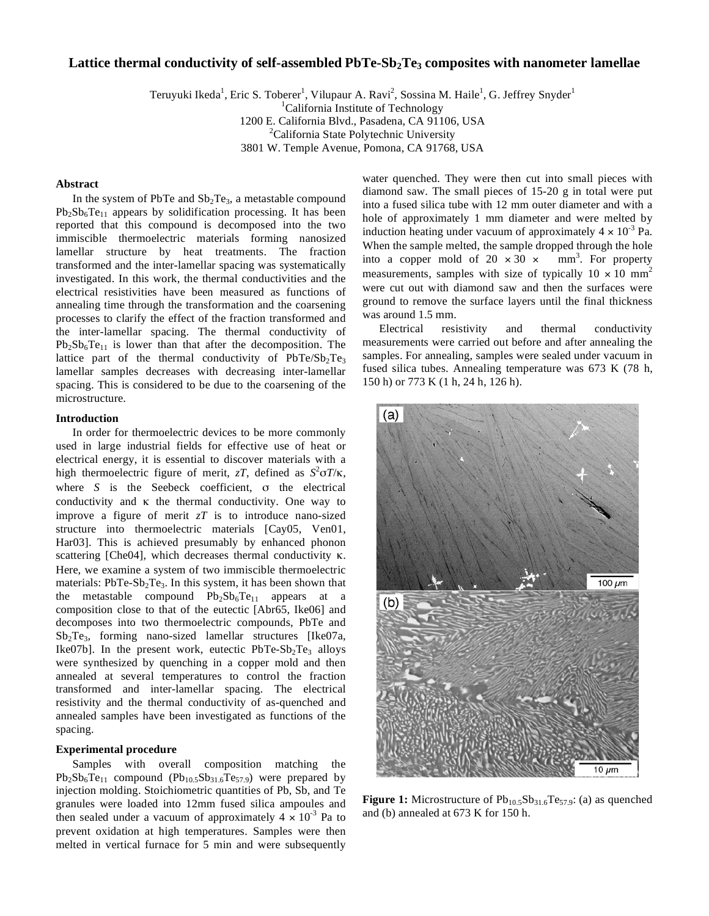# Lattice thermal conductivity of self-assembled PbTe-Sb<sub>2</sub>Te<sub>3</sub> composites with nanometer lamellae

Teruyuki Ikeda<sup>1</sup>, Eric S. Toberer<sup>1</sup>, Vilupaur A. Ravi<sup>2</sup>, Sossina M. Haile<sup>1</sup>, G. Jeffrey Snyder<sup>1</sup>

<sup>1</sup>California Institute of Technology

1200 E. California Blvd., Pasadena, CA 91106, USA 2

<sup>2</sup>California State Polytechnic University

3801 W. Temple Avenue, Pomona, CA 91768, USA

# **Abstract**

In the system of PbTe and  $Sb<sub>2</sub>Te<sub>3</sub>$ , a metastable compound  $Pb_2Sb_6Te_{11}$  appears by solidification processing. It has been reported that this compound is decomposed into the two immiscible thermoelectric materials forming nanosized lamellar structure by heat treatments. The fraction transformed and the inter-lamellar spacing was systematically investigated. In this work, the thermal conductivities and the electrical resistivities have been measured as functions of annealing time through the transformation and the coarsening processes to clarify the effect of the fraction transformed and the inter-lamellar spacing. The thermal conductivity of  $Pb_2Sb_6Te_{11}$  is lower than that after the decomposition. The lattice part of the thermal conductivity of  $PbTe/Sp<sub>2</sub>Te<sub>3</sub>$ lamellar samples decreases with decreasing inter-lamellar spacing. This is considered to be due to the coarsening of the microstructure.

# **Introduction**

In order for thermoelectric devices to be more commonly used in large industrial fields for effective use of heat or electrical energy, it is essential to discover materials with a high thermoelectric figure of merit,  $zT$ , defined as  $S^2 \sigma T / \kappa$ , where  $S$  is the Seebeck coefficient,  $\sigma$  the electrical conductivity and  $\kappa$  the thermal conductivity. One way to improve a figure of merit *zT* is to introduce nano-sized structure into thermoelectric materials [Cay05, Ven01, Har03]. This is achieved presumably by enhanced phonon scattering [Che04], which decreases thermal conductivity  $\kappa$ . Here, we examine a system of two immiscible thermoelectric materials:  $PbTe-Sb<sub>2</sub>Te<sub>3</sub>$ . In this system, it has been shown that the metastable compound  $Pb_2Sb_6Te_{11}$  appears at a composition close to that of the eutectic [Abr65, Ike06] and decomposes into two thermoelectric compounds, PbTe and Sb2Te3, forming nano-sized lamellar structures [Ike07a, Ike07b]. In the present work, eutectic  $PbTe-Sb<sub>2</sub>Te<sub>3</sub>$  alloys were synthesized by quenching in a copper mold and then annealed at several temperatures to control the fraction transformed and inter-lamellar spacing. The electrical resistivity and the thermal conductivity of as-quenched and annealed samples have been investigated as functions of the spacing.

# **Experimental procedure**

Samples with overall composition matching the  $Pb_2Sb_6Te_{11}$  compound  $(Pb_{10.5}Sb_{31.6}Te_{57.9})$  were prepared by injection molding. Stoichiometric quantities of Pb, Sb, and Te granules were loaded into 12mm fused silica ampoules and then sealed under a vacuum of approximately  $4 \times 10^{-3}$  Pa to prevent oxidation at high temperatures. Samples were then melted in vertical furnace for 5 min and were subsequently water quenched. They were then cut into small pieces with diamond saw. The small pieces of 15-20 g in total were put into a fused silica tube with 12 mm outer diameter and with a hole of approximately 1 mm diameter and were melted by induction heating under vacuum of approximately  $4 \times 10^{-3}$  Pa. When the sample melted, the sample dropped through the hole into a copper mold of  $20 \times 30 \times$  $mm<sup>3</sup>$ . For property measurements, samples with size of typically  $10 \times 10 \text{ mm}^2$ were cut out with diamond saw and then the surfaces were ground to remove the surface layers until the final thickness was around 1.5 mm.

Electrical resistivity and thermal conductivity measurements were carried out before and after annealing the samples. For annealing, samples were sealed under vacuum in fused silica tubes. Annealing temperature was 673 K (78 h, 150 h) or 773 K (1 h, 24 h, 126 h).



**Figure 1:** Microstructure of Pb<sub>10.5</sub>Sb<sub>31.6</sub>Te<sub>57.9</sub>: (a) as quenched and (b) annealed at 673 K for 150 h.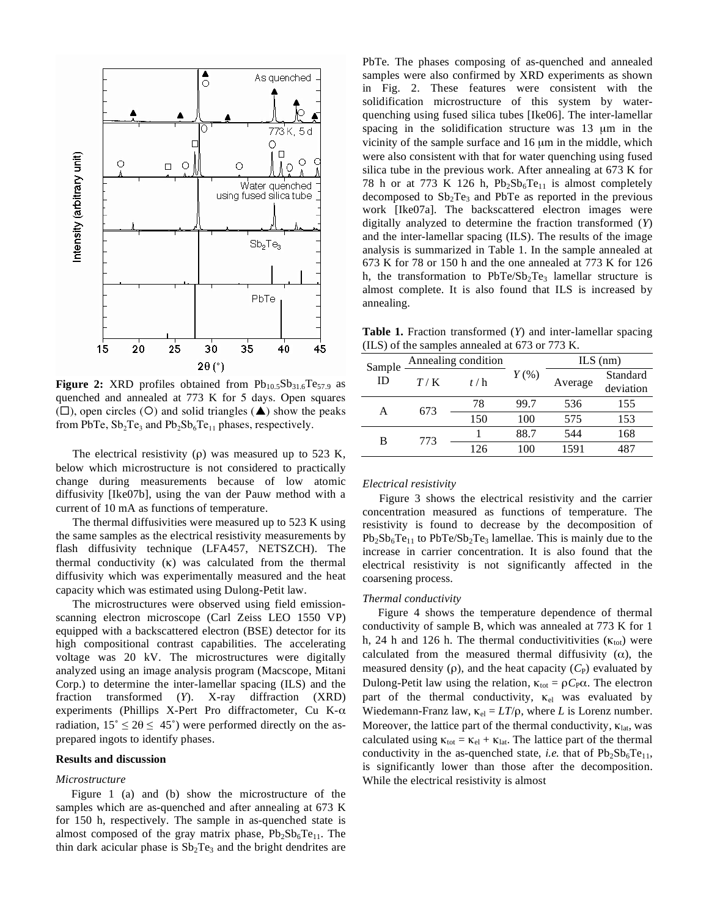

**Figure 2:** XRD profiles obtained from  $Pb_{10.5}Sb_{31.6}Te_{57.9}$  as quenched and annealed at 773 K for 5 days. Open squares  $(\Box)$ , open circles (O) and solid triangles ( $\blacktriangle$ ) show the peaks from PbTe,  $Sb_2Te_3$  and  $Pb_2Sb_6Te_{11}$  phases, respectively.

The electrical resistivity ( $\rho$ ) was measured up to 523 K, below which microstructure is not considered to practically change during measurements because of low atomic diffusivity [Ike07b], using the van der Pauw method with a current of 10 mA as functions of temperature.

The thermal diffusivities were measured up to 523 K using the same samples as the electrical resistivity measurements by flash diffusivity technique (LFA457, NETSZCH). The thermal conductivity  $(\kappa)$  was calculated from the thermal diffusivity which was experimentally measured and the heat capacity which was estimated using Dulong-Petit law.

The microstructures were observed using field emissionscanning electron microscope (Carl Zeiss LEO 1550 VP) equipped with a backscattered electron (BSE) detector for its high compositional contrast capabilities. The accelerating voltage was 20 kV. The microstructures were digitally analyzed using an image analysis program (Macscope, Mitani Corp.) to determine the inter-lamellar spacing (ILS) and the fraction transformed (*Y*). X-ray diffraction (XRD) experiments (Phillips X-Pert Pro diffractometer, Cu K- $\alpha$ radiation,  $15^{\circ} \le 20 \le 45^{\circ}$ ) were performed directly on the asprepared ingots to identify phases.

#### **Results and discussion**

## *Microstructure*

Figure 1 (a) and (b) show the microstructure of the samples which are as-quenched and after annealing at 673 K for 150 h, respectively. The sample in as-quenched state is almost composed of the gray matrix phase,  $Pb_2Sb_6Te_{11}$ . The thin dark acicular phase is  $Sb<sub>2</sub>Te<sub>3</sub>$  and the bright dendrites are PbTe. The phases composing of as-quenched and annealed samples were also confirmed by XRD experiments as shown in Fig. 2. These features were consistent with the solidification microstructure of this system by waterquenching using fused silica tubes [Ike06]. The inter-lamellar spacing in the solidification structure was 13 μm in the vicinity of the sample surface and 16 μm in the middle, which were also consistent with that for water quenching using fused silica tube in the previous work. After annealing at 673 K for 78 h or at 773 K 126 h,  $Pb_2Sb_6Te_{11}$  is almost completely decomposed to  $Sb<sub>2</sub>Te<sub>3</sub>$  and PbTe as reported in the previous work [Ike07a]. The backscattered electron images were digitally analyzed to determine the fraction transformed (*Y*) and the inter-lamellar spacing (ILS). The results of the image analysis is summarized in Table 1. In the sample annealed at 673 K for 78 or 150 h and the one annealed at 773 K for 126 h, the transformation to  $PbTe/Sp<sub>2</sub>Te<sub>3</sub>$  lamellar structure is almost complete. It is also found that ILS is increased by annealing.

**Table 1.** Fraction transformed (*Y*) and inter-lamellar spacing (ILS) of the samples annealed at 673 or 773 K.

| Sample<br>ID | Annealing condition |     |         | $ILS$ (nm) |                       |
|--------------|---------------------|-----|---------|------------|-----------------------|
|              | T/K                 | t/h | $Y$ (%) | Average    | Standard<br>deviation |
| А            | 673                 | 78  | 99.7    | 536        | 155                   |
|              |                     | 150 | 100     | 575        | 153                   |
| в            | 773                 |     | 88.7    | 544        | 168                   |
|              |                     | 126 | 100     | 1591       |                       |

#### *Electrical resistivity*

Figure 3 shows the electrical resistivity and the carrier concentration measured as functions of temperature. The resistivity is found to decrease by the decomposition of  $Pb_2Sb_6Te_{11}$  to  $PbTe/Sb_2Te_3$  lamellae. This is mainly due to the increase in carrier concentration. It is also found that the electrical resistivity is not significantly affected in the coarsening process.

### *Thermal conductivity*

Figure 4 shows the temperature dependence of thermal conductivity of sample B, which was annealed at 773 K for 1 h, 24 h and 126 h. The thermal conductivitivities  $(\kappa_{tot})$  were calculated from the measured thermal diffusivity  $(\alpha)$ , the measured density  $(\rho)$ , and the heat capacity  $(C_P)$  evaluated by Dulong-Petit law using the relation,  $\kappa_{\text{tot}} = \rho C_P \alpha$ . The electron part of the thermal conductivity,  $\kappa_{el}$  was evaluated by Wiedemann-Franz law,  $\kappa_{el} = LT/\rho$ , where *L* is Lorenz number. Moreover, the lattice part of the thermal conductivity,  $\kappa_{\text{lat}}$ , was calculated using  $\kappa_{\text{tot}} = \kappa_{\text{el}} + \kappa_{\text{lat}}$ . The lattice part of the thermal conductivity in the as-quenched state, *i.e.* that of  $Pb_2Sb_6Te_{11}$ , is significantly lower than those after the decomposition. While the electrical resistivity is almost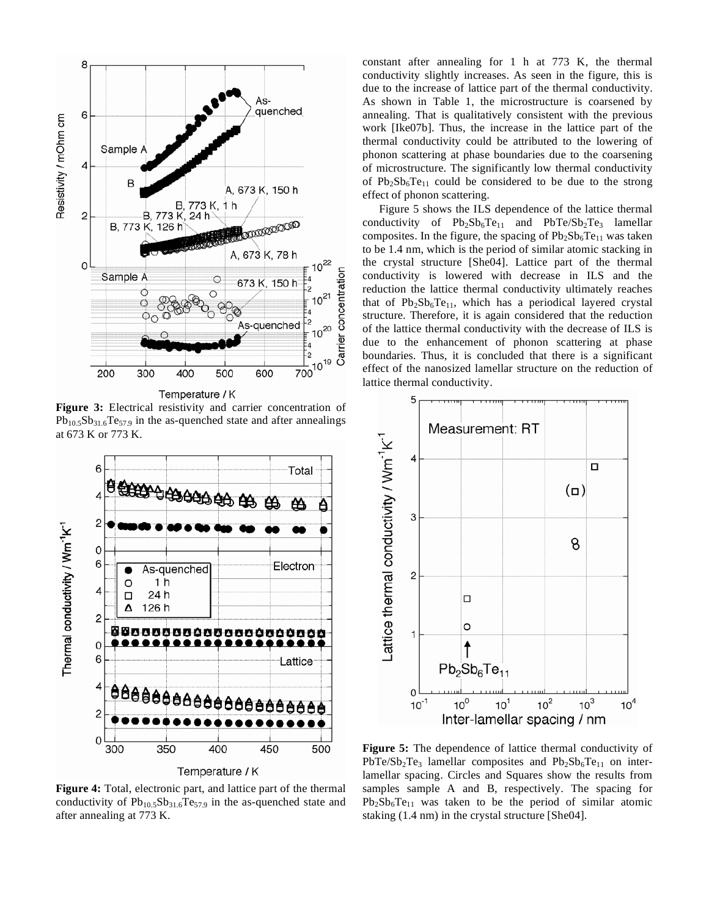

**Figure 3:** Electrical resistivity and carrier concentration of  $Pb_{10,5}Sb_{31,6}Te_{57,9}$  in the as-quenched state and after annealings at 673 K or 773 K.



**Figure 4:** Total, electronic part, and lattice part of the thermal conductivity of  $Pb_{10.5}Sb_{31.6}Te_{57.9}$  in the as-quenched state and after annealing at 773 K.

constant after annealing for 1 h at 773 K, the thermal conductivity slightly increases. As seen in the figure, this is due to the increase of lattice part of the thermal conductivity. As shown in Table 1, the microstructure is coarsened by annealing. That is qualitatively consistent with the previous work [Ike07b]. Thus, the increase in the lattice part of the thermal conductivity could be attributed to the lowering of phonon scattering at phase boundaries due to the coarsening of microstructure. The significantly low thermal conductivity of  $Pb_2Sb_6Te_{11}$  could be considered to be due to the strong effect of phonon scattering.

Figure 5 shows the ILS dependence of the lattice thermal conductivity of  $Pb_2Sb_6Te_{11}$  and  $PbTe/Sb_2Te_3$  lamellar composites. In the figure, the spacing of  $Pb_2Sb_6Te_{11}$  was taken to be 1.4 nm, which is the period of similar atomic stacking in the crystal structure [She04]. Lattice part of the thermal conductivity is lowered with decrease in ILS and the reduction the lattice thermal conductivity ultimately reaches that of  $Pb_2Sb_6Te_{11}$ , which has a periodical layered crystal structure. Therefore, it is again considered that the reduction of the lattice thermal conductivity with the decrease of ILS is due to the enhancement of phonon scattering at phase boundaries. Thus, it is concluded that there is a significant effect of the nanosized lamellar structure on the reduction of lattice thermal conductivity.



**Figure 5:** The dependence of lattice thermal conductivity of  $PbTe/Sp<sub>2</sub>Te<sub>3</sub>$  lamellar composites and  $Pb<sub>2</sub>Sb<sub>6</sub>Te<sub>11</sub>$  on interlamellar spacing. Circles and Squares show the results from samples sample A and B, respectively. The spacing for  $Pb_2Sb_6Te_{11}$  was taken to be the period of similar atomic staking (1.4 nm) in the crystal structure [She04].